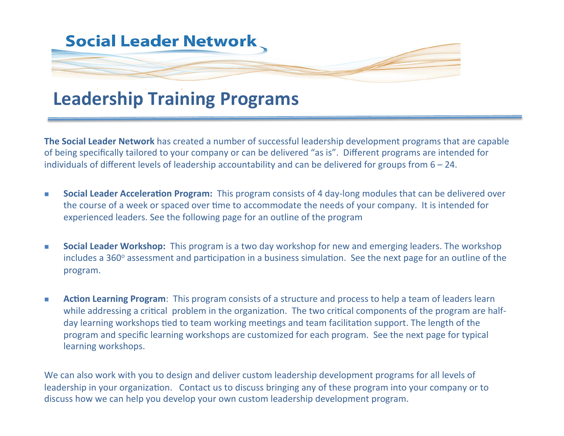

## **Leadership Training Programs**

**The Social Leader Network** has created a number of successful leadership development programs that are capable of being specifically tailored to your company or can be delivered "as is". Different programs are intended for individuals of different levels of leadership accountability and can be delivered for groups from  $6 - 24$ .

- **n** Social Leader Acceleration Program: This program consists of 4 day-long modules that can be delivered over the course of a week or spaced over time to accommodate the needs of your company. It is intended for experienced leaders. See the following page for an outline of the program
- **Social Leader Workshop:** This program is a two day workshop for new and emerging leaders. The workshop includes a 360<sup>°</sup> assessment and participation in a business simulation. See the next page for an outline of the program.
- **n Action Learning Program**: This program consists of a structure and process to help a team of leaders learn while addressing a critical problem in the organization. The two critical components of the program are halfday learning workshops tied to team working meetings and team facilitation support. The length of the program and specific learning workshops are customized for each program. See the next page for typical learning workshops.

We can also work with you to design and deliver custom leadership development programs for all levels of leadership in your organization. Contact us to discuss bringing any of these program into your company or to discuss how we can help you develop your own custom leadership development program.